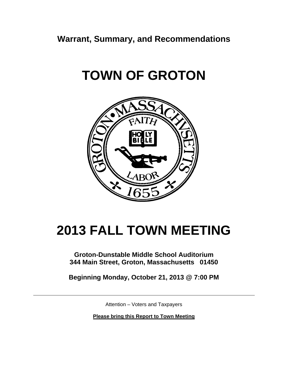**Warrant, Summary, and Recommendations** 

# **TOWN OF GROTON**



# **2013 FALL TOWN MEETING**

**Groton-Dunstable Middle School Auditorium 344 Main Street, Groton, Massachusetts 01450** 

**Beginning Monday, October 21, 2013 @ 7:00 PM** 

Attention – Voters and Taxpayers

**Please bring this Report to Town Meeting**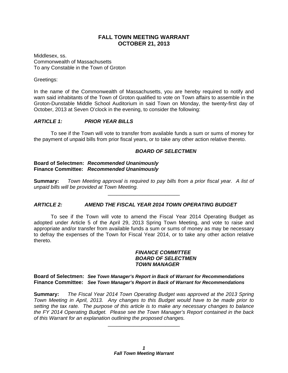# **FALL TOWN MEETING WARRANT OCTOBER 21, 2013**

Middlesex, ss. Commonwealth of Massachusetts To any Constable in the Town of Groton

Greetings:

In the name of the Commonwealth of Massachusetts, you are hereby required to notify and warn said inhabitants of the Town of Groton qualified to vote on Town affairs to assemble in the Groton-Dunstable Middle School Auditorium in said Town on Monday, the twenty-first day of October, 2013 at Seven O'clock in the evening, to consider the following:

## *ARTICLE 1: PRIOR YEAR BILLS*

 To see if the Town will vote to transfer from available funds a sum or sums of money for the payment of unpaid bills from prior fiscal years, or to take any other action relative thereto.

## *BOARD OF SELECTMEN*

#### **Board of Selectmen:** *Recommended Unanimously* **Finance Committee:** *Recommended Unanimously*

**Summary:** *Town Meeting approval is required to pay bills from a prior fiscal year. A list of unpaid bills will be provided at Town Meeting.*  \_\_\_\_\_\_\_\_\_\_\_\_\_\_\_\_\_\_\_\_\_\_\_\_\_

# *ARTICLE 2: AMEND THE FISCAL YEAR 2014 TOWN OPERATING BUDGET*

To see if the Town will vote to amend the Fiscal Year 2014 Operating Budget as adopted under Article 5 of the April 29, 2013 Spring Town Meeting, and vote to raise and appropriate and/or transfer from available funds a sum or sums of money as may be necessary to defray the expenses of the Town for Fiscal Year 2014, or to take any other action relative thereto.

#### *FINANCE COMMITTEE BOARD OF SELECTMEN TOWN MANAGER*

**Board of Selectmen:** *See Town Manager's Report in Back of Warrant for Recommendations*  **Finance Committee:** *See Town Manager's Report in Back of Warrant for Recommendations* 

**Summary:** *The Fiscal Year 2014 Town Operating Budget was approved at the 2013 Spring Town Meeting in April, 2013. Any changes to this Budget would have to be made prior to setting the tax rate. The purpose of this article is to make any necessary changes to balance the FY 2014 Operating Budget. Please see the Town Manager's Report contained in the back of this Warrant for an explanation outlining the proposed changes.*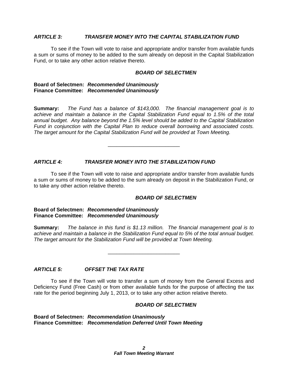#### *ARTICLE 3: TRANSFER MONEY INTO THE CAPITAL STABILIZATION FUND*

 To see if the Town will vote to raise and appropriate and/or transfer from available funds a sum or sums of money to be added to the sum already on deposit in the Capital Stabilization Fund, or to take any other action relative thereto.

#### *BOARD OF SELECTMEN*

#### **Board of Selectmen:** *Recommended Unanimously* **Finance Committee:** *Recommended Unanimously*

**Summary:** *The Fund has a balance of \$143,000. The financial management goal is to achieve and maintain a balance in the Capital Stabilization Fund equal to 1.5% of the total annual budget. Any balance beyond the 1.5% level should be added to the Capital Stabilization Fund in conjunction with the Capital Plan to reduce overall borrowing and associated costs. The target amount for the Capital Stabilization Fund will be provided at Town Meeting.* 

\_\_\_\_\_\_\_\_\_\_\_\_\_\_\_\_\_\_\_\_\_\_\_\_\_

#### *ARTICLE 4: TRANSFER MONEY INTO THE STABILIZATION FUND*

To see if the Town will vote to raise and appropriate and/or transfer from available funds a sum or sums of money to be added to the sum already on deposit in the Stabilization Fund, or to take any other action relative thereto.

#### *BOARD OF SELECTMEN*

#### **Board of Selectmen:** *Recommended Unanimously* **Finance Committee:** *Recommended Unanimously*

**Summary:** *The balance in this fund is \$1.13 million. The financial management goal is to achieve and maintain a balance in the Stabilization Fund equal to 5% of the total annual budget. The target amount for the Stabilization Fund will be provided at Town Meeting.* 

\_\_\_\_\_\_\_\_\_\_\_\_\_\_\_\_\_\_\_\_\_\_\_\_\_

#### *ARTICLE 5: OFFSET THE TAX RATE*

 To see if the Town will vote to transfer a sum of money from the General Excess and Deficiency Fund (Free Cash) or from other available funds for the purpose of affecting the tax rate for the period beginning July 1, 2013, or to take any other action relative thereto.

#### *BOARD OF SELECTMEN*

**Board of Selectmen:** *Recommendation Unanimously* **Finance Committee:** *Recommendation Deferred Until Town Meeting*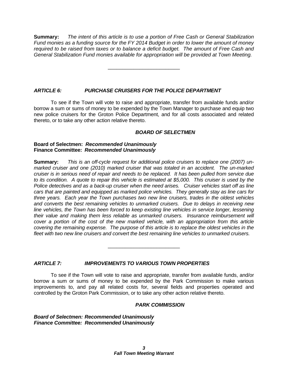**Summary:** *The intent of this article is to use a portion of Free Cash or General Stabilization Fund monies as a funding source for the FY 2014 Budget in order to lower the amount of money required to be raised from taxes or to balance a deficit budget. The amount of Free Cash and General Stabilization Fund monies available for appropriation will be provided at Town Meeting.* 

\_\_\_\_\_\_\_\_\_\_\_\_\_\_\_\_\_\_\_\_\_\_\_\_\_

# *ARTICLE 6: PURCHASE CRUISERS FOR THE POLICE DEPARTMENT*

 To see if the Town will vote to raise and appropriate, transfer from available funds and/or borrow a sum or sums of money to be expended by the Town Manager to purchase and equip two new police cruisers for the Groton Police Department, and for all costs associated and related thereto, or to take any other action relative thereto.

# *BOARD OF SELECTMEN*

#### **Board of Selectmen:** *Recommended Unanimously* **Finance Committee:** *Recommended Unanimously*

**Summary:** *This is an off-cycle request for additional police cruisers to replace one (2007) unmarked cruiser and one (2010) marked cruiser that was totaled in an accident. The un-marked cruiser is in serious need of repair and needs to be replaced. It has been pulled from service due to its condition. A quote to repair this vehicle is estimated at \$5,000. This cruiser is used by the Police detectives and as a back-up cruiser when the need arises. Cruiser vehicles start off as line cars that are painted and equipped as marked police vehicles. They generally stay as line cars for three years. Each year the Town purchases two new line cruisers, trades in the oldest vehicles and converts the best remaining vehicles to unmarked cruisers. Due to delays in receiving new line vehicles, the Town has been forced to keep existing line vehicles in service longer, lessening their value and making them less reliable as unmarked cruisers. Insurance reimbursement will cover a portion of the cost of the new marked vehicle, with an appropriation from this article covering the remaining expense. The purpose of this article is to replace the oldest vehicles in the fleet with two new line cruisers and convert the best remaining line vehicles to unmarked cruisers.* 

#### *ARTICLE 7: IMPROVEMENTS TO VARIOUS TOWN PROPERTIES*

 To see if the Town will vote to raise and appropriate, transfer from available funds, and/or borrow a sum or sums of money to be expended by the Park Commission to make various improvements to, and pay all related costs for, several fields and properties operated and controlled by the Groton Park Commission, or to take any other action relative thereto.

\_\_\_\_\_\_\_\_\_\_\_\_\_\_\_\_\_\_\_\_\_\_\_\_\_

#### *PARK COMMISSION*

*Board of Selectmen: Recommended Unanimously Finance Committee: Recommended Unanimously*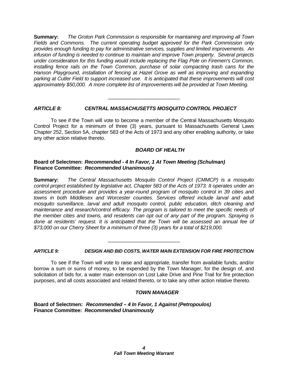**Summary:** *The Groton Park Commission is responsible for maintaining and improving all Town Fields and Commons. The current operating budget approved for the Park Commission only provides enough funding to pay for administrative services, supplies and limited improvements. An infusion of funding is needed to continue to maintain and improve Town property. Several projects under consideration for this funding would include replacing the Flag Pole on Firemen's Common, installing fence rails on the Town Common, purchase of solar compacting trash cans for the Hanson Playground, installation of fencing at Hazel Grove as well as improving and expanding parking at Cutler Field to support increased use. It is anticipated that these improvements will cost approximately \$50,000. A more complete list of improvements will be provided at Town Meeting.* 

## *ARTICLE 8: CENTRAL MASSACHUSETTS MOSQUITO CONTROL PROJECT*

 To see if the Town will vote to become a member of the Central Massachusetts Mosquito Control Project for a minimum of three (3) years, pursuant to Massachusetts General Laws Chapter 252, Section 5A, chapter 583 of the Acts of 1973 and any other enabling authority, or take any other action relative thereto.

\_\_\_\_\_\_\_\_\_\_\_\_\_\_\_\_\_\_\_\_\_\_\_\_\_

## *BOARD OF HEALTH*

#### **Board of Selectmen:** *Recommended - 4 In Favor, 1 At Town Meeting (Schulman)* **Finance Committee:** *Recommended Unanimously*

**Summary:** *The Central Massachusetts Mosquito Control Project (CMMCP) is a mosquito control project established by legislative act, Chapter 583 of the Acts of 1973. It operates under an assessment procedure and provides a year-round program of mosquito control in 39 cities and towns in both Middlesex and Worcester counties. Services offered include larval and adult mosquito surveillance, larval and adult mosquito control, public education, ditch cleaning and maintenance and research/control efficacy. The program is tailored to meet the specific needs of the member cities and towns, and residents can opt out of any part of the program. Spraying is done at residents' request. It is anticipated that the Town will be assessed an annual fee of \$73,000 on our Cherry Sheet for a minimum of three (3) years for a total of \$219,000.* 

#### *ARTICLE 9: DESIGN AND BID COSTS, WATER MAIN EXTENSION FOR FIRE PROTECTION*

\_\_\_\_\_\_\_\_\_\_\_\_\_\_\_\_\_\_\_\_\_\_\_\_\_

 To see if the Town will vote to raise and appropriate, transfer from available funds, and/or borrow a sum or sums of money, to be expended by the Town Manager, for the design of, and solicitation of bids for, a water main extension on Lost Lake Drive and Pine Trail for fire protection purposes, and all costs associated and related thereto, or to take any other action relative thereto.

#### *TOWN MANAGER*

**Board of Selectmen:** *Recommended – 4 In Favor, 1 Against (Petropoulos)*  **Finance Committee:** *Recommended Unanimously*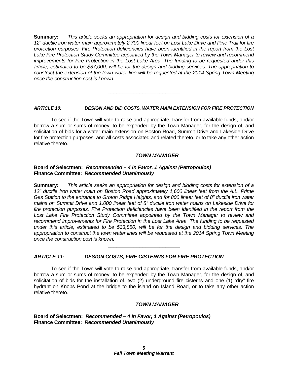**Summary:** *This article seeks an appropriation for design and bidding costs for extension of a 12" ductile iron water main approximately 2,700 linear feet on Lost Lake Drive and Pine Trail for fire protection purposes. Fire Protection deficiencies have been identified in the report from the Lost Lake Fire Protection Study Committee appointed by the Town Manager to review and recommend improvements for Fire Protection in the Lost Lake Area. The funding to be requested under this article, estimated to be \$37,000, will be for the design and bidding services. The appropriation to construct the extension of the town water line will be requested at the 2014 Spring Town Meeting once the construction cost is known.* 

\_\_\_\_\_\_\_\_\_\_\_\_\_\_\_\_\_\_\_\_\_\_\_\_\_

## *ARTICLE 10: DESIGN AND BID COSTS, WATER MAIN EXTENSION FOR FIRE PROTECTION*

 To see if the Town will vote to raise and appropriate, transfer from available funds, and/or borrow a sum or sums of money, to be expended by the Town Manager, for the design of, and solicitation of bids for a water main extension on Boston Road, Summit Drive and Lakeside Drive for fire protection purposes, and all costs associated and related thereto, or to take any other action relative thereto.

## *TOWN MANAGER*

#### **Board of Selectmen:** *Recommended – 4 In Favor, 1 Against (Petropoulos)* **Finance Committee:** *Recommended Unanimously*

**Summary:** *This article seeks an appropriation for design and bidding costs for extension of a 12" ductile iron water main on Boston Road approximately 1,600 linear feet from the A.L. Prime Gas Station to the entrance to Groton Ridge Heights, and for 800 linear feet of 8" ductile iron water mains on Summit Drive and 1,000 linear feet of 8" ductile iron water mains on Lakeside Drive for*  fire protection purposes. Fire Protection deficiencies have been identified in the report from the *Lost Lake Fire Protection Study Committee appointed by the Town Manager to review and recommend improvements for Fire Protection in the Lost Lake Area. The funding to be requested under this article, estimated to be \$33,850, will be for the design and bidding services. The*  appropriation to construct the town water lines will be requested at the 2014 Spring Town Meeting *once the construction cost is known.* 

\_\_\_\_\_\_\_\_\_\_\_\_\_\_\_\_\_\_\_\_\_\_\_\_\_

#### *ARTICLE 11: DESIGN COSTS, FIRE CISTERNS FOR FIRE PROTECTION*

 To see if the Town will vote to raise and appropriate, transfer from available funds, and/or borrow a sum or sums of money, to be expended by the Town Manager, for the design of, and solicitation of bids for the installation of, two (2) underground fire cisterns and one (1) "dry" fire hydrant on Knops Pond at the bridge to the island on Island Road, or to take any other action relative thereto.

#### *TOWN MANAGER*

**Board of Selectmen:** *Recommended – 4 In Favor, 1 Against (Petropoulos)* **Finance Committee:** *Recommended Unanimously*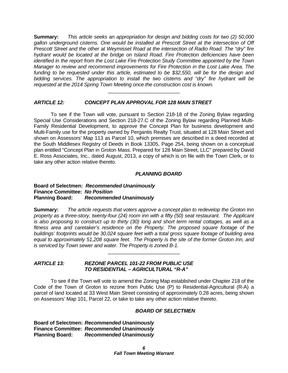**Summary:** *This article seeks an appropriation for design and bidding costs for two (2) 50,000 gallon underground cisterns. One would be installed at Prescott Street at the intersection of Off Prescott Street and the other at Weymisset Road at the intersection of Radio Road. The "dry" fire hydrant would be located at the bridge on Island Road. Fire Protection deficiencies have been identified in the report from the Lost Lake Fire Protection Study Committee appointed by the Town Manager to review and recommend improvements for Fire Protection in the Lost Lake Area. The funding to be requested under this article, estimated to be \$32,550, will be for the design and bidding services. The appropriation to install the two cisterns and "dry" fire hydrant will be requested at the 2014 Spring Town Meeting once the construction cost is known.* 

\_\_\_\_\_\_\_\_\_\_\_\_\_\_\_\_\_\_\_\_\_\_\_\_\_

## *ARTICLE 12: CONCEPT PLAN APPROVAL FOR 128 MAIN STREET*

 To see if the Town will vote, pursuant to Section 218-18 of the Zoning Bylaw regarding Special Use Considerations and Section 218-27.C of the Zoning Bylaw regarding Planned Multi-Family Residential Development, to approve the Concept Plan for business development and Multi-Family use for the property owned by Pergantis Realty Trust, situated at 128 Main Street and shown on Assessors' Map 113 as Parcel 10, which premises are described in a deed recorded at the South Middlesex Registry of Deeds in Book 13305, Page 254, being shown on a conceptual plan entitled "Concept Plan in Groton Mass. Prepared for 128 Main Street, LLC" prepared by David E. Ross Associates, Inc., dated August, 2013, a copy of which is on file with the Town Clerk, or to take any other action relative thereto.

#### *PLANNING BOARD*

#### **Board of Selectmen:** *Recommended Unanimously* **Finance Committee:** *No Position* **Planning Board:** *Recommended Unanimously*

**Summary:** *The article requests that voters approve a concept plan to redevelop the Groton Inn property as a three-story, twenty-four (24) room inn with a fifty (50) seat restaurant. The Applicant is also proposing to construct up to thirty (30) long and short term rental cottages, as well as a fitness area and caretaker's residence on the Property. The proposed square footage of the buildings' footprints would be 30,024 square feet with a total gross square footage of building area equal to approximately 51,208 square feet. The Property is the site of the former Groton Inn, and is serviced by Town sewer and water. The Property is zoned B-1.*

\_\_\_\_\_\_\_\_\_\_\_\_\_\_\_\_\_\_\_\_\_\_\_\_\_

## *ARTICLE 13: REZONE PARCEL 101-22 FROM PUBLIC USE TO RESIDENTIAL – AGRICULTURAL "R-A"*

To see if the Town will vote to amend the Zoning Map established under Chapter 218 of the Code of the Town of Groton to rezone from Public Use (P) to Residential-Agricultural (R-A) a parcel of land located at 33 West Main Street consisting of approximately 0.28 acres, being shown on Assessors' Map 101, Parcel 22, or take to take any other action relative thereto.

#### *BOARD OF SELECTMEN*

**Board of Selectmen:** *Recommended Unanimously* **Finance Committee:** *Recommended Unanimously* **Planning Board:** *Recommended Unanimously*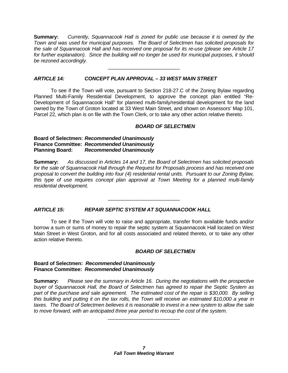**Summary:** *Currently, Squannacook Hall is zoned for public use because it is owned by the Town and was used for municipal purposes. The Board of Selectmen has solicited proposals for the sale of Squannacook Hall and has received one proposal for its re-use (please see Article 17 for further explanation). Since the building will no longer be used for municipal purposes, it should be rezoned accordingly.*

\_\_\_\_\_\_\_\_\_\_\_\_\_\_\_\_\_\_\_\_\_\_\_\_\_

# *ARTICLE 14: CONCEPT PLAN APPROVAL – 33 WEST MAIN STREET*

 To see if the Town will vote, pursuant to Section 218-27.C of the Zoning Bylaw regarding Planned Multi-Family Residential Development, to approve the concept plan entitled "Re-Development of Squannacook Hall" for planned multi-family/residential development for the land owned by the Town of Groton located at 33 West Main Street, and shown on Assessors' Map 101, Parcel 22, which plan is on file with the Town Clerk, or to take any other action relative thereto.

#### *BOARD OF SELECTMEN*

#### **Board of Selectmen:** *Recommended Unanimously* **Finance Committee:** *Recommended Unanimously* **Planning Board:** *Recommended Unanimously*

**Summary:** *As discussed in Articles 14 and 17, the Board of Selectmen has solicited proposals for the sale of Squannacook Hall through the Request for Proposals process and has received one proposal to convert the building into four (4) residential rental units. Pursuant to our Zoning Bylaw, this type of use requires concept plan approval at Town Meeting for a planned multi-family residential development.* 

\_\_\_\_\_\_\_\_\_\_\_\_\_\_\_\_\_\_\_\_\_\_\_\_\_

# *ARTICLE 15: REPAIR SEPTIC SYSTEM AT SQUANNACOOK HALL*

 To see if the Town will vote to raise and appropriate, transfer from available funds and/or borrow a sum or sums of money to repair the septic system at Squannacook Hall located on West Main Street in West Groton, and for all costs associated and related thereto, or to take any other action relative thereto.

#### *BOARD OF SELECTMEN*

#### **Board of Selectmen:** *Recommended Unanimously* **Finance Committee:** *Recommended Unanimously*

**Summary:** *Please see the summary in Article 16. During the negotiations with the prospective buyer of Squannacook Hall, the Board of Selectmen has agreed to repair the Septic System as*  part of the purchase and sale agreement. The estimated cost of the repair is \$30,000. By selling *this building and putting it on the tax rolls, the Town will receive an estimated \$10,000 a year in taxes. The Board of Selectmen believes it is reasonable to invest in a new system to allow the sale to move forward, with an anticipated three year period to recoup the cost of the system.*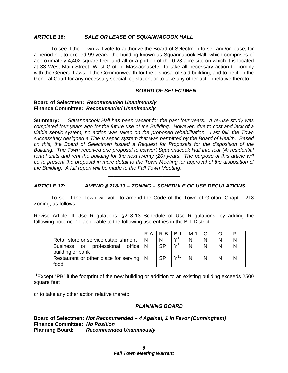#### *ARTICLE 16: SALE OR LEASE OF SQUANNACOOK HALL*

 To see if the Town will vote to authorize the Board of Selectmen to sell and/or lease, for a period not to exceed 99 years, the building known as Squannacook Hall, which comprises of approximately 4,402 square feet, and all or a portion of the 0.28 acre site on which it is located at 33 West Main Street, West Groton, Massachusetts, to take all necessary action to comply with the General Laws of the Commonwealth for the disposal of said building, and to petition the General Court for any necessary special legislation, or to take any other action relative thereto.

#### *BOARD OF SELECTMEN*

#### **Board of Selectmen:** *Recommended Unanimously* **Finance Committee:** *Recommended Unanimously*

**Summary:** *Squannacook Hall has been vacant for the past four years. A re-use study was completed four years ago for the future use of the Building. However, due to cost and lack of a viable septic system, no action was taken on the proposed rehabilitation. Last fall, the Town successfully designed a Title V septic system that was permitted by the Board of Health. Based on this, the Board of Selectmen issued a Request for Proposals for the disposition of the Building. The Town received one proposal to convert Squannacook Hall into four (4) residential rental units and rent the building for the next twenty (20) years. The purpose of this article will*  be to present the proposal in more detail to the Town Meeting for approval of the disposition of *the Building. A full report will be made to the Fall Town Meeting.* 

#### *ARTICLE 17: AMEND § 218-13 – ZONING – SCHEDULE OF USE REGULATIONS*

\_\_\_\_\_\_\_\_\_\_\_\_\_\_\_\_\_\_\_\_\_\_\_\_\_

 To see if the Town will vote to amend the Code of the Town of Groton, Chapter 218 Zoning, as follows:

Revise Article III Use Regulations, §218-13 Schedule of Use Regulations, by adding the following note no. 11 applicable to the following use entries in the B-1 District:

|                                                        | R-A            | $R-B$     | - B-1              | M-1 |  | P            |
|--------------------------------------------------------|----------------|-----------|--------------------|-----|--|--------------|
| Retail store or service establishment                  |                | N         | $\mathcal{V}^{11}$ | N   |  |              |
| office<br>Business or professional<br>building or bank | $\overline{N}$ | <b>SP</b> | $\frac{1}{1}$      | N   |  | $\mathbf{N}$ |
| Restaurant or other place for serving   N<br>food      |                | <b>SP</b> | $\sqrt{11}$        | N   |  |              |

 $11$ Except "PB" if the footprint of the new building or addition to an existing building exceeds 2500 square feet

or to take any other action relative thereto.

#### *PLANNING BOARD*

**Board of Selectmen:** *Not Recommended – 4 Against, 1 In Favor (Cunningham)*  **Finance Committee:** *No Position* **Planning Board:** *Recommended Unanimously*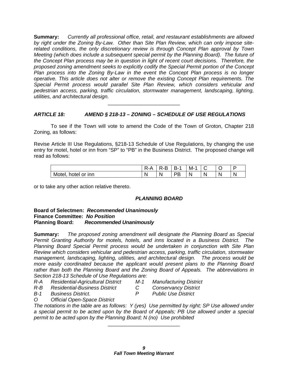**Summary:** *Currently all professional office, retail, and restaurant establishments are allowed by right under the Zoning By-Law. Other than Site Plan Review, which can only impose siterelated conditions, the only discretionary review is through Concept Plan approval by Town Meeting (which does include a subsequent special permit by the Planning Board). The future of the Concept Plan process may be in question in light of recent court decisions. Therefore, the proposed zoning amendment seeks to explicitly codify the Special Permit portion of the Concept Plan process into the Zoning By-Law in the event the Concept Plan process is no longer operative. This article does not alter or remove the existing Concept Plan requirements. The Special Permit process would parallel Site Plan Review, which considers vehicular and pedestrian access, parking, traffic circulation, stormwater management, landscaping, lighting, utilities, and architectural design.* 

# *ARTICLE 18: AMEND § 218-13 – ZONING – SCHEDULE OF USE REGULATIONS*

 To see if the Town will vote to amend the Code of the Town of Groton, Chapter 218 Zoning, as follows:

\_\_\_\_\_\_\_\_\_\_\_\_\_\_\_\_\_\_\_\_\_\_\_\_\_

Revise Article III Use Regulations, §218-13 Schedule of Use Regulations, by changing the use entry for motel, hotel or inn from "SP" to "PB" in the Business District. The proposed change will read as follows:

|                           | ี – ⊥<br>- | ′-⊢<br>-<br>∽ | -<br>ь-   | -<br>M-i  |   |    |    |
|---------------------------|------------|---------------|-----------|-----------|---|----|----|
| or inn<br>hotel<br>Motel, |            | N             | DD<br>. . | N.<br>. . | N | A. | ₩. |

or to take any other action relative thereto.

# *PLANNING BOARD*

#### **Board of Selectmen:** *Recommended Unanimously* **Finance Committee:** *No Position* **Planning Board:** *Recommended Unanimously*

**Summary:** *The proposed zoning amendment will designate the Planning Board as Special Permit Granting Authority for motels, hotels, and inns located in a Business District. The Planning Board Special Permit process would be undertaken in conjunction with Site Plan Review which considers vehicular and pedestrian access, parking, traffic circulation, stormwater management, landscaping, lighting, utilities, and architectural design. The process would be more easily coordinated because the applicant would present plans to the Planning Board rather than both the Planning Board and the Zoning Board of Appeals. The abbreviations in Section 218-13 Schedule of Use Regulations are:* 

- *R-A Residential-Agricultural District M-1 Manufacturing District* 
	-
- *R-B Residential-Business District C Conservancy District* 
	-
- *B-1 Business District. P Public Use District* 
	-
- *O Official Open-Space District*

*The notations in the table are as follows: Y (yes) Use permitted by right; SP Use allowed under a special permit to be acted upon by the Board of Appeals; PB Use allowed under a special permit to be acted upon by the Planning Board; N (no) Use prohibited*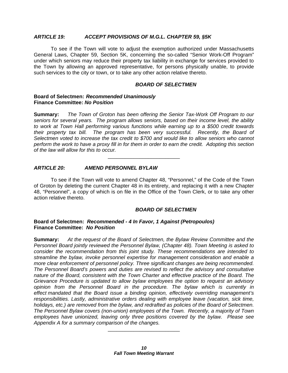## *ARTICLE 19: ACCEPT PROVISIONS OF M.G.L. CHAPTER 59, §5K*

 To see if the Town will vote to adjust the exemption authorized under Massachusetts General Laws, Chapter 59, Section 5K, concerning the so-called "Senior Work-Off Program" under which seniors may reduce their property tax liability in exchange for services provided to the Town by allowing an approved representative, for persons physically unable, to provide such services to the city or town, or to take any other action relative thereto.

#### *BOARD OF SELECTMEN*

#### **Board of Selectmen:** *Recommended Unanimously* **Finance Committee:** *No Position*

**Summary:** *The Town of Groton has been offering the Senior Tax-Work Off Program to our seniors for several years. The program allows seniors, based on their income level, the ability to work at Town Hall performing various functions while earning up to a \$500 credit towards their property tax bill. The program has been very successful. Recently, the Board of Selectmen voted to increase the tax credit to \$700 and would like to allow seniors who cannot perform the work to have a proxy fill in for them in order to earn the credit. Adopting this section of the law will allow for this to occur.* 

\_\_\_\_\_\_\_\_\_\_\_\_\_\_\_\_\_\_\_\_\_\_\_\_\_

# *ARTICLE 20: AMEND PERSONNEL BYLAW*

 To see if the Town will vote to amend Chapter 48, "Personnel," of the Code of the Town of Groton by deleting the current Chapter 48 in its entirety, and replacing it with a new Chapter 48, "Personnel", a copy of which is on file in the Office of the Town Clerk, or to take any other action relative thereto.

# *BOARD OF SELECTMEN*

## **Board of Selectmen:** *Recommended - 4 In Favor, 1 Against (Petropoulos)* **Finance Committee:** *No Position*

**Summary:** *At the request of the Board of Selectmen, the Bylaw Review Committee and the Personnel Board jointly reviewed the Personnel Bylaw, (Chapter 48). Town Meeting is asked to consider the recommendation from this joint study. These recommendations are intended to streamline the bylaw, invoke personnel expertise for management consideration and enable a more clear enforcement of personnel policy. Three significant changes are being recommended. The Personnel Board's powers and duties are revised to reflect the advisory and consultative nature of the Board, consistent with the Town Charter and effective practice of the Board. The Grievance Procedure is updated to allow bylaw employees the option to request an advisory opinion from the Personnel Board in the procedure. The bylaw which is currently in effect mandated that the Board issue a binding opinion, effectively overriding management's responsibilities. Lastly, administrative orders dealing with employee leave (vacation, sick time, holidays, etc.) are removed from the bylaw, and redrafted as policies of the Board of Selectmen. The Personnel Bylaw covers (non-union) employees of the Town. Recently, a majority of Town employees have unionized, leaving only three positions covered by the bylaw. Please see Appendix A for a summary comparison of the changes.*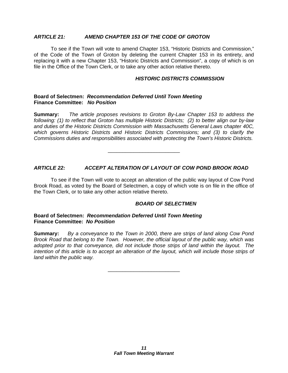## *ARTICLE 21: AMEND CHAPTER 153 OF THE CODE OF GROTON*

To see if the Town will vote to amend Chapter 153, "Historic Districts and Commission," of the Code of the Town of Groton by deleting the current Chapter 153 in its entirety, and replacing it with a new Chapter 153, "Historic Districts and Commission", a copy of which is on file in the Office of the Town Clerk, or to take any other action relative thereto.

#### *HISTORIC DISTRICTS COMMISSION*

#### **Board of Selectmen:** *Recommendation Deferred Until Town Meeting* **Finance Committee:** *No Position*

**Summary:** *The article proposes revisions to Groton By-Law Chapter 153 to address the following: (1) to reflect that Groton has multiple Historic Districts; (2) to better align our by-law and duties of the Historic Districts Commission with Massachusetts General Laws chapter 40C, which governs Historic Districts and Historic Districts Commissions; and (3) to clarify the Commissions duties and responsibilities associated with protecting the Town's Historic Districts.*

\_\_\_\_\_\_\_\_\_\_\_\_\_\_\_\_\_\_\_\_\_\_\_\_\_

# *ARTICLE 22: ACCEPT ALTERATION OF LAYOUT OF COW POND BROOK ROAD*

To see if the Town will vote to accept an alteration of the public way layout of Cow Pond Brook Road, as voted by the Board of Selectmen, a copy of which vote is on file in the office of the Town Clerk, or to take any other action relative thereto.

# *BOARD OF SELECTMEN*

#### **Board of Selectmen:** *Recommendation Deferred Until Town Meeting* **Finance Committee:** *No Position*

**Summary:** *By a conveyance to the Town in 2000, there are strips of land along Cow Pond Brook Road that belong to the Town. However, the official layout of the public way, which was adopted prior to that conveyance, did not include those strips of land within the layout. The intention of this article is to accept an alteration of the layout, which will include those strips of land within the public way.*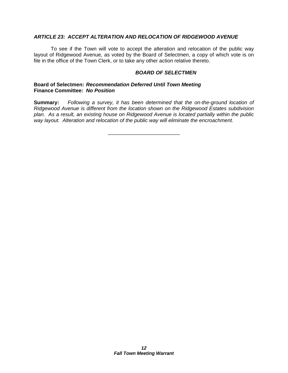## *ARTICLE 23: ACCEPT ALTERATION AND RELOCATION OF RIDGEWOOD AVENUE*

To see if the Town will vote to accept the alteration and relocation of the public way layout of Ridgewood Avenue, as voted by the Board of Selectmen, a copy of which vote is on file in the office of the Town Clerk, or to take any other action relative thereto.

## *BOARD OF SELECTMEN*

#### **Board of Selectmen:** *Recommendation Deferred Until Town Meeting* **Finance Committee:** *No Position*

**Summary:** *Following a survey, it has been determined that the on-the-ground location of Ridgewood Avenue is different from the location shown on the Ridgewood Estates subdivision plan. As a result, an existing house on Ridgewood Avenue is located partially within the public way layout. Alteration and relocation of the public way will eliminate the encroachment.*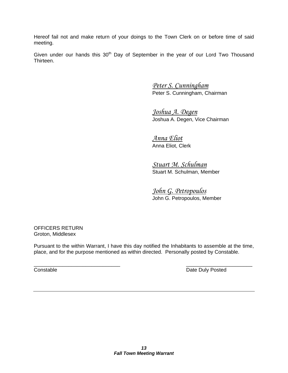Hereof fail not and make return of your doings to the Town Clerk on or before time of said meeting.

Given under our hands this  $30<sup>th</sup>$  Day of September in the year of our Lord Two Thousand Thirteen.

> *Peter S. Cunningham* Peter S. Cunningham, Chairman

 *Joshua A. Degen* Joshua A. Degen, Vice Chairman

 *Anna Eliot*  Anna Eliot, Clerk

 *Stuart M. Schulman*  Stuart M. Schulman, Member

 *John G. Petropoulos*  John G. Petropoulos, Member

OFFICERS RETURN Groton, Middlesex

Pursuant to the within Warrant, I have this day notified the Inhabitants to assemble at the time, place, and for the purpose mentioned as within directed. Personally posted by Constable.

 $\overline{\phantom{a}}$  , and the contract of the contract of the contract of the contract of the contract of the contract of the contract of the contract of the contract of the contract of the contract of the contract of the contrac **Constable Constable Date Duly Posted**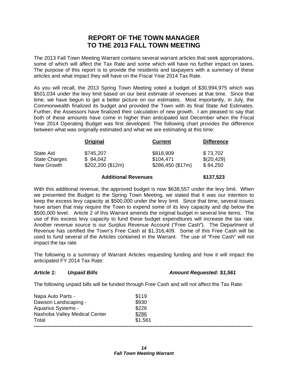# **REPORT OF THE TOWN MANAGER TO THE 2013 FALL TOWN MEETING**

The 2013 Fall Town Meeting Warrant contains several warrant articles that seek appropriations, some of which will affect the Tax Rate and some which will have no further impact on taxes. The purpose of this report is to provide the residents and taxpayers with a summary of these articles and what impact they will have on the Fiscal Year 2014 Tax Rate.

As you will recall, the 2013 Spring Town Meeting voted a budget of \$30,994,975 which was \$501,034 under the levy limit based on our best estimate of revenues at that time. Since that time, we have begun to get a better picture on our estimates. Most importantly, in July, the Commonwealth finalized its budget and provided the Town with its final State Aid Estimates. Further, the Assessors have finalized their calculation of new growth. I am pleased to say that both of these amounts have come in higher than anticipated last December when the Fiscal Year 2014 Operating Budget was first developed. The following chart provides the difference between what was originally estimated and what we are estimating at this time:

|                      | Original          | <b>Current</b>    | <b>Difference</b> |
|----------------------|-------------------|-------------------|-------------------|
| State Aid            | \$745,207         | \$818,909         | \$73,702          |
| <b>State Charges</b> | \$84,042          | \$104.471         | \$(20,429)        |
| New Growth           | \$202,200 (\$12m) | \$286,450 (\$17m) | \$84,250          |

#### **Additional Revenues \$137,523**

With this additional revenue, the approved budget is now \$638,557 under the levy limit. When we presented the Budget to the Spring Town Meeting, we stated that it was our intention to keep the excess levy capacity at \$500,000 under the levy limit. Since that time, several issues have arisen that may require the Town to expend some of its levy capacity and dip below the \$500,000 level. Article 2 of this Warrant amends the original budget in several line items. The use of this excess levy capacity to fund these budget expenditures will increase the tax rate. Another revenue source is our Surplus Revenue Account ("Free Cash"). The Department of Revenue has certified the Town's Free Cash at \$1,316,409. Some of this Free Cash will be used to fund several of the Articles contained in the Warrant. The use of "Free Cash" will not impact the tax rate.

The following is a summary of Warrant Articles requesting funding and how it will impact the anticipated FY 2014 Tax Rate:

#### *Article 1: Unpaid Bills Amount Requested: \$1,561*

The following unpaid bills will be funded through Free Cash and will not affect the Tax Rate:

| Napa Auto Parts -<br>Dawson Landscaping -<br><b>Aquarius Systems -</b><br>Nashoba Valley Medical Center | \$119<br>\$930<br>\$226<br>\$286 |
|---------------------------------------------------------------------------------------------------------|----------------------------------|
| Total                                                                                                   | \$1,561                          |
|                                                                                                         |                                  |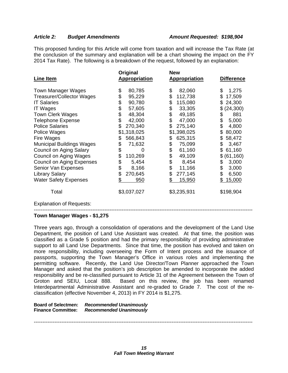#### *Article 2: Budget Amendments Amount Requested: \$198,904*

This proposed funding for this Article will come from taxation and will increase the Tax Rate (at the conclusion of the summary and explanation will be a chart showing the impact on the FY 2014 Tax Rate). The following is a breakdown of the request, followed by an explanation:

| <b>Line Item</b>                                       | Original<br><b>Appropriation</b> | <b>New</b><br><b>Appropriation</b> | <b>Difference</b>           |
|--------------------------------------------------------|----------------------------------|------------------------------------|-----------------------------|
| Town Manager Wages<br><b>Treasurer/Collector Wages</b> | \$<br>80,785<br>\$<br>95,229     | \$<br>82,060<br>\$<br>112,738      | \$<br>1,275<br>17,509<br>\$ |
| <b>IT Salaries</b>                                     | \$                               | \$                                 | 24,300                      |
|                                                        | 90,780                           | 115,080                            | \$.                         |
| <b>IT Wages</b>                                        | \$<br>57,605                     | \$<br>33,305                       | \$(24,300)                  |
| Town Clerk Wages                                       | \$                               | \$                                 | 881                         |
|                                                        | 48,304                           | 49,185                             | \$                          |
| <b>Telephone Expense</b>                               | 42,000                           | \$                                 | \$                          |
|                                                        | \$                               | 47,000                             | 5,000                       |
| <b>Police Salaries</b>                                 | \$                               | \$                                 | \$                          |
|                                                        | 270,340                          | 275,140                            | 4,800                       |
| Police Wages                                           | \$1,318,025                      | \$1,398,025                        | 80,000<br>S                 |
| <b>Fire Wages</b>                                      | 566,843                          | 625,315                            | 58,472                      |
|                                                        | \$                               | \$                                 | \$                          |
| <b>Municipal Buildings Wages</b>                       | 71,632                           | \$                                 | \$                          |
|                                                        | \$                               | 75,099                             | 3,467                       |
| <b>Council on Aging Salary</b>                         | \$                               | \$                                 | \$                          |
|                                                        | 0                                | 61,160                             | 61,160                      |
| <b>Council on Aging Wages</b>                          | \$<br>110,269                    | \$<br>49,109                       | \$ (61, 160)                |
| <b>Council on Aging Expenses</b>                       | 5,454                            | \$                                 | \$                          |
|                                                        | \$                               | 8,454                              | 3,000                       |
| Senior Van Expenses                                    | \$                               | \$                                 | \$                          |
|                                                        | 8,166                            | 11,166                             | 3,000                       |
| <b>Library Salary</b>                                  | \$                               | \$                                 | \$                          |
|                                                        | 270,645                          | 277,145                            | 6,500                       |
| <b>Water Safety Expenses</b>                           | \$                               | \$                                 | 15,000                      |
|                                                        | 950                              | 15,950                             | S                           |
| Total                                                  | \$3,037,027                      | \$3,235,931                        | \$198,904                   |

Explanation of Requests:

-------------------------------------------------------------------------------------------------------------------------------

# **Town Manager Wages - \$1,275**

Three years ago, through a consolidation of operations and the development of the Land Use Department, the position of Land Use Assistant was created. At that time, the position was classified as a Grade 5 position and had the primary responsibility of providing administrative support to all Land Use Departments. Since that time, the position has evolved and taken on more responsibility, including overseeing the Form of Intent process and the issuance of passports, supporting the Town Manager's Office in various roles and implementing the permitting software. Recently, the Land Use Director/Town Planner approached the Town Manager and asked that the position's job description be amended to incorporate the added responsibility and be re-classified pursuant to Article 31 of the Agreement between the Town of Groton and SEIU, Local 888. Based on this review, the job has been renamed Interdepartmental Administrative Assistant and re-graded to Grade 7. The cost of the reclassification (effective November 4, 2013) in FY 2014 is \$1,275.

**Board of Selectmen:** *Recommended Unanimously* **Finance Committee:** *Recommended Unanimously*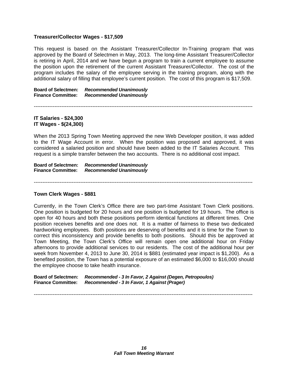#### **Treasurer/Collector Wages - \$17,509**

This request is based on the Assistant Treasurer/Collector In-Training program that was approved by the Board of Selectmen in May, 2013. The long-time Assistant Treasurer/Collector is retiring in April, 2014 and we have begun a program to train a current employee to assume the position upon the retirement of the current Assistant Treasurer/Collector. The cost of the program includes the salary of the employee serving in the training program, along with the additional salary of filling that employee's current position. The cost of this program is \$17,509.

**Board of Selectmen:** *Recommended Unanimously* **Finance Committee:** *Recommended Unanimously* 

-------------------------------------------------------------------------------------------------------------------------------

**IT Salaries - \$24,300 IT Wages - \$(24,300)** 

When the 2013 Spring Town Meeting approved the new Web Developer position, it was added to the IT Wage Account in error. When the position was proposed and approved, it was considered a salaried position and should have been added to the IT Salaries Account. This request is a simple transfer between the two accounts. There is no additional cost impact.

**Board of Selectmen:** *Recommended Unanimously* **Finance Committee:** *Recommended Unanimously*

-------------------------------------------------------------------------------------------------------------------------------

#### **Town Clerk Wages - \$881**

Currently, in the Town Clerk's Office there are two part-time Assistant Town Clerk positions. One position is budgeted for 20 hours and one position is budgeted for 19 hours. The office is open for 40 hours and both these positions perform identical functions at different times. One position receives benefits and one does not. It is a matter of fairness to these two dedicated hardworking employees. Both positions are deserving of benefits and it is time for the Town to correct this inconsistency and provide benefits to both positions. Should this be approved at Town Meeting, the Town Clerk's Office will remain open one additional hour on Friday afternoons to provide additional services to our residents. The cost of the additional hour per week from November 4, 2013 to June 30, 2014 is \$881 (estimated year impact is \$1,200). As a benefited position, the Town has a potential exposure of an estimated \$6,000 to \$16,000 should the employee choose to take health insurance.

**Board of Selectmen:** *Recommended - 3 In Favor, 2 Against (Degen, Petropoulos)* **Finance Committee:** *Recommended - 3 In Favor, 1 Against (Prager)*

-------------------------------------------------------------------------------------------------------------------------------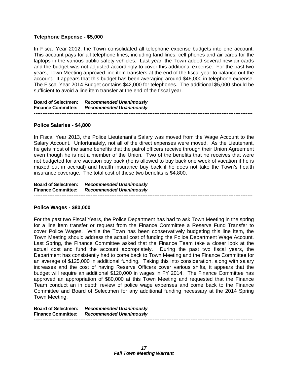#### **Telephone Expense - \$5,000**

In Fiscal Year 2012, the Town consolidated all telephone expense budgets into one account. This account pays for all telephone lines, including land lines, cell phones and air cards for the laptops in the various public safety vehicles. Last year, the Town added several new air cards and the budget was not adjusted accordingly to cover this additional expense. For the past two years, Town Meeting approved line item transfers at the end of the fiscal year to balance out the account. It appears that this budget has been averaging around \$46,000 in telephone expense. The Fiscal Year 2014 Budget contains \$42,000 for telephones. The additional \$5,000 should be sufficient to avoid a line item transfer at the end of the fiscal year.

**Board of Selectmen:** *Recommended Unanimously* **Finance Committee:** *Recommended Unanimously* -------------------------------------------------------------------------------------------------------------------------------

#### **Police Salaries - \$4,800**

In Fiscal Year 2013, the Police Lieutenant's Salary was moved from the Wage Account to the Salary Account. Unfortunately, not all of the direct expenses were moved. As the Lieutenant, he gets most of the same benefits that the patrol officers receive through their Union Agreement even though he is not a member of the Union. Two of the benefits that he receives that were not budgeted for are vacation buy back (he is allowed to buy back one week of vacation if he is maxed out in accrual) and health insurance buy back if he does not take the Town's health insurance coverage. The total cost of these two benefits is \$4,800.

**Board of Selectmen:** *Recommended Unanimously* **Finance Committee:** *Recommended Unanimously* -------------------------------------------------------------------------------------------------------------------------------

#### **Police Wages - \$80,000**

For the past two Fiscal Years, the Police Department has had to ask Town Meeting in the spring for a line item transfer or request from the Finance Committee a Reserve Fund Transfer to cover Police Wages. While the Town has been conservatively budgeting this line item, the Town Meeting should address the actual cost of funding the Police Department Wage Account. Last Spring, the Finance Committee asked that the Finance Team take a closer look at the actual cost and fund the account appropriately. During the past two fiscal years, the Department has consistently had to come back to Town Meeting and the Finance Committee for an average of \$125,000 in additional funding. Taking this into consideration, along with salary increases and the cost of having Reserve Officers cover various shifts, it appears that the budget will require an additional \$120,000 in wages in FY 2014. The Finance Committee has approved an appropriation of \$80,000 at this Town Meeting and requested that the Finance Team conduct an in depth review of police wage expenses and come back to the Finance Committee and Board of Selectmen for any additional funding necessary at the 2014 Spring Town Meeting.

**Board of Selectmen:** *Recommended Unanimously* **Finance Committee:** *Recommended Unanimously* -------------------------------------------------------------------------------------------------------------------------------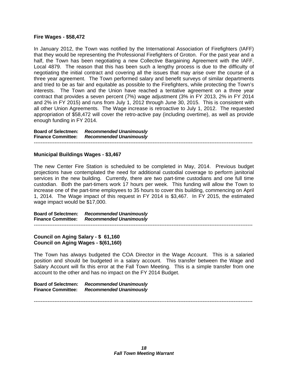#### **Fire Wages - \$58,472**

In January 2012, the Town was notified by the International Association of Firefighters (IAFF) that they would be representing the Professional Firefighters of Groton. For the past year and a half, the Town has been negotiating a new Collective Bargaining Agreement with the IAFF, Local 4879. The reason that this has been such a lengthy process is due to the difficulty of negotiating the initial contract and covering all the issues that may arise over the course of a three year agreement. The Town performed salary and benefit surveys of similar departments and tried to be as fair and equitable as possible to the Firefighters, while protecting the Town's interests. The Town and the Union have reached a tentative agreement on a three year contract that provides a seven percent (7%) wage adjustment (3% in FY 2013, 2% in FY 2014 and 2% in FY 2015) and runs from July 1, 2012 through June 30, 2015. This is consistent with all other Union Agreements. The Wage increase is retroactive to July 1, 2012. The requested appropriation of \$58,472 will cover the retro-active pay (including overtime), as well as provide enough funding in FY 2014.

**Board of Selectmen:** *Recommended Unanimously* **Finance Committee:** *Recommended Unanimously* -------------------------------------------------------------------------------------------------------------------------------

#### **Municipal Buildings Wages - \$3,467**

The new Center Fire Station is scheduled to be completed in May, 2014. Previous budget projections have contemplated the need for additional custodial coverage to perform janitorial services in the new building. Currently, there are two part-time custodians and one full time custodian. Both the part-timers work 17 hours per week. This funding will allow the Town to increase one of the part-time employees to 35 hours to cover this building, commencing on April 1, 2014. The Wage impact of this request in FY 2014 is \$3,467. In FY 2015, the estimated wage impact would be \$17,000.

**Board of Selectmen:** *Recommended Unanimously* **Finance Committee:** *Recommended Unanimously* -------------------------------------------------------------------------------------------------------------------------------

## **Council on Aging Salary - \$ 61,160 Council on Aging Wages - \$(61,160)**

The Town has always budgeted the COA Director in the Wage Account. This is a salaried position and should be budgeted in a salary account. This transfer between the Wage and Salary Account will fix this error at the Fall Town Meeting. This is a simple transfer from one account to the other and has no impact on the FY 2014 Budget.

**Board of Selectmen:** *Recommended Unanimously* **Finance Committee:** *Recommended Unanimously*

-------------------------------------------------------------------------------------------------------------------------------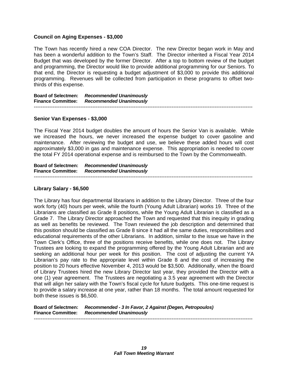#### **Council on Aging Expenses - \$3,000**

The Town has recently hired a new COA Director. The new Director began work in May and has been a wonderful addition to the Town's Staff. The Director inherited a Fiscal Year 2014 Budget that was developed by the former Director. After a top to bottom review of the budget and programming, the Director would like to provide additional programming for our Seniors. To that end, the Director is requesting a budget adjustment of \$3,000 to provide this additional programming. Revenues will be collected from participation in these programs to offset twothirds of this expense.

**Board of Selectmen:** *Recommended Unanimously* **Finance Committee:** *Recommended Unanimously* -------------------------------------------------------------------------------------------------------------------------------

#### **Senior Van Expenses - \$3,000**

The Fiscal Year 2014 budget doubles the amount of hours the Senior Van is available. While we increased the hours, we never increased the expense budget to cover gasoline and maintenance. After reviewing the budget and use, we believe these added hours will cost approximately \$3,000 in gas and maintenance expense. This appropriation is needed to cover the total FY 2014 operational expense and is reimbursed to the Town by the Commonwealth.

**Board of Selectmen:** *Recommended Unanimously* **Finance Committee:** *Recommended Unanimously* -------------------------------------------------------------------------------------------------------------------------------

#### **Library Salary - \$6,500**

The Library has four departmental librarians in addition to the Library Director. Three of the four work forty (40) hours per week, while the fourth (Young Adult Librarian) works 19. Three of the Librarians are classified as Grade 8 positions, while the Young Adult Librarian is classified as a Grade 7. The Library Director approached the Town and requested that this inequity in grading as well as benefits be reviewed. The Town reviewed the job description and determined that this position should be classified as Grade 8 since it had all the same duties, responsibilities and educational requirements of the other Librarians. In addition, similar to the issue we have in the Town Clerk's Office, three of the positions receive benefits, while one does not. The Library Trustees are looking to expand the programming offered by the Young Adult Librarian and are seeking an additional hour per week for this position. The cost of adjusting the current YA Librarian's pay rate to the appropriate level within Grade 8 and the cost of increasing the position to 20 hours effective November 4, 2013 would be \$3,500. Additionally, when the Board of Library Trustees hired the new Library Director last year, they provided the Director with a one (1) year agreement. The Trustees are negotiating a 3.5 year agreement with the Director that will align her salary with the Town's fiscal cycle for future budgets. This one-time request is to provide a salary increase at one year, rather than 18 months. The total amount requested for both these issues is \$6,500.

**Board of Selectmen:** *Recommended - 3 In Favor, 2 Against (Degen, Petropoulos)* **Finance Committee:** *Recommended Unanimously* -------------------------------------------------------------------------------------------------------------------------------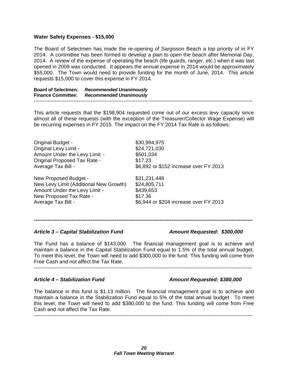#### **Water Safety Expenses - \$15,000**

The Board of Selectmen has made the re-opening of Sargisson Beach a top priority of in FY 2014. A committee has been formed to develop a plan to open the beach after Memorial Day, 2014. A review of the expense of operating the beach (life guards, ranger, etc.) when it was last opened in 2009 was conducted. It appears the annual expense in 2014 would be approximately \$55,000. The Town would need to provide funding for the month of June, 2014. This article requests \$15,000 to cover this expense in FY 2014.

**Board of Selectmen:** *Recommended Unanimously* **Finance Committee:** *Recommended Unanimously* -------------------------------------------------------------------------------------------------------------------------------

This article requests that the \$198,904 requested come out of our excess levy capacity since almost all of these requests (with the exception of the Treasurer/Collector Wage Expense) will be recurring expenses in FY 2015. The impact on the FY 2014 Tax Rate is as follows:

| <b>Original Budget -</b>               | \$30,994,975                           |
|----------------------------------------|----------------------------------------|
| <b>Original Levy Limit -</b>           | \$24,721,030                           |
| Amount Under the Levy Limit -          | \$501,034                              |
| <b>Original Proposed Tax Rate -</b>    | \$17.23                                |
| Average Tax Bill -                     | \$6,892 or \$152 increase over FY 2013 |
| New Proposed Budget -                  | \$31,231,448                           |
| New Levy Limit (Additional New Growth) | \$24,805,711                           |
| Amount Under the Levy Limit -          | \$439,653                              |
| New Proposed Tax Rate -                | \$17.36                                |
| Average Tax Bill -                     | \$6,944 or \$204 increase over FY 2013 |

#### *Article 3 – Capital Stabilization Fund Amount Requested: \$300,000*

The Fund has a balance of \$143,000. The financial management goal is to achieve and maintain a balance in the Capital Stabilization Fund equal to 1.5% of the total annual budget. To meet this level, the Town will need to add \$300,000 to the fund. This funding will come from Free Cash and not affect the Tax Rate.

**-------------------------------------------------------------------------------------------------------------------------------**

-------------------------------------------------------------------------------------------------------------------------------

# Article 4 – Stabilization Fund **Amount Requested: \$380,000**

The balance in this fund is \$1.13 million. The financial management goal is to achieve and maintain a balance in the Stabilization Fund equal to 5% of the total annual budget. To meet this level, the Town will need to add \$380,000 to the fund. This funding will come from Free Cash and not affect the Tax Rate.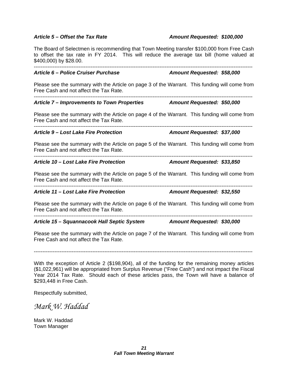#### Article 5 – Offset the Tax Rate Amount Requested: \$100,000

The Board of Selectmen is recommending that Town Meeting transfer \$100,000 from Free Cash to offset the tax rate in FY 2014. This will reduce the average tax bill (home valued at \$400,000) by \$28.00.

| 100,000,00,000.000                                                                                                                      |                                   |  |
|-----------------------------------------------------------------------------------------------------------------------------------------|-----------------------------------|--|
| Article 6 - Police Cruiser Purchase                                                                                                     | <b>Amount Requested: \$58,000</b> |  |
| Please see the summary with the Article on page 3 of the Warrant. This funding will come from<br>Free Cash and not affect the Tax Rate. |                                   |  |
| Article 7 – Improvements to Town Properties                                                                                             | <b>Amount Requested: \$50,000</b> |  |
| Please see the summary with the Article on page 4 of the Warrant. This funding will come from<br>Free Cash and not affect the Tax Rate. |                                   |  |
| <b>Article 9 – Lost Lake Fire Protection</b>                                                                                            | Amount Requested: \$37,000        |  |
| Please see the summary with the Article on page 5 of the Warrant. This funding will come from<br>Free Cash and not affect the Tax Rate. |                                   |  |
| Article 10 – Lost Lake Fire Protection                                                                                                  | Amount Requested: \$33,850        |  |
| Please see the summary with the Article on page 5 of the Warrant. This funding will come from<br>Free Cash and not affect the Tax Rate. |                                   |  |
| Article 11 - Lost Lake Fire Protection                                                                                                  | <b>Amount Requested: \$32,550</b> |  |
| Please see the summary with the Article on page 6 of the Warrant. This funding will come from<br>Free Cash and not affect the Tax Rate. |                                   |  |
| Article 15 - Squannacook Hall Septic System                                                                                             | Amount Requested: \$30,000        |  |

Please see the summary with the Article on page 7 of the Warrant. This funding will come from Free Cash and not affect the Tax Rate.

-------------------------------------------------------------------------------------------------------------------------------

With the exception of Article 2 (\$198,904), all of the funding for the remaining money articles (\$1,022,961) will be appropriated from Surplus Revenue ("Free Cash") and not impact the Fiscal Year 2014 Tax Rate. Should each of these articles pass, the Town will have a balance of \$293,448 in Free Cash.

Respectfully submitted,

*Mark W. Haddad* 

Mark W. Haddad Town Manager